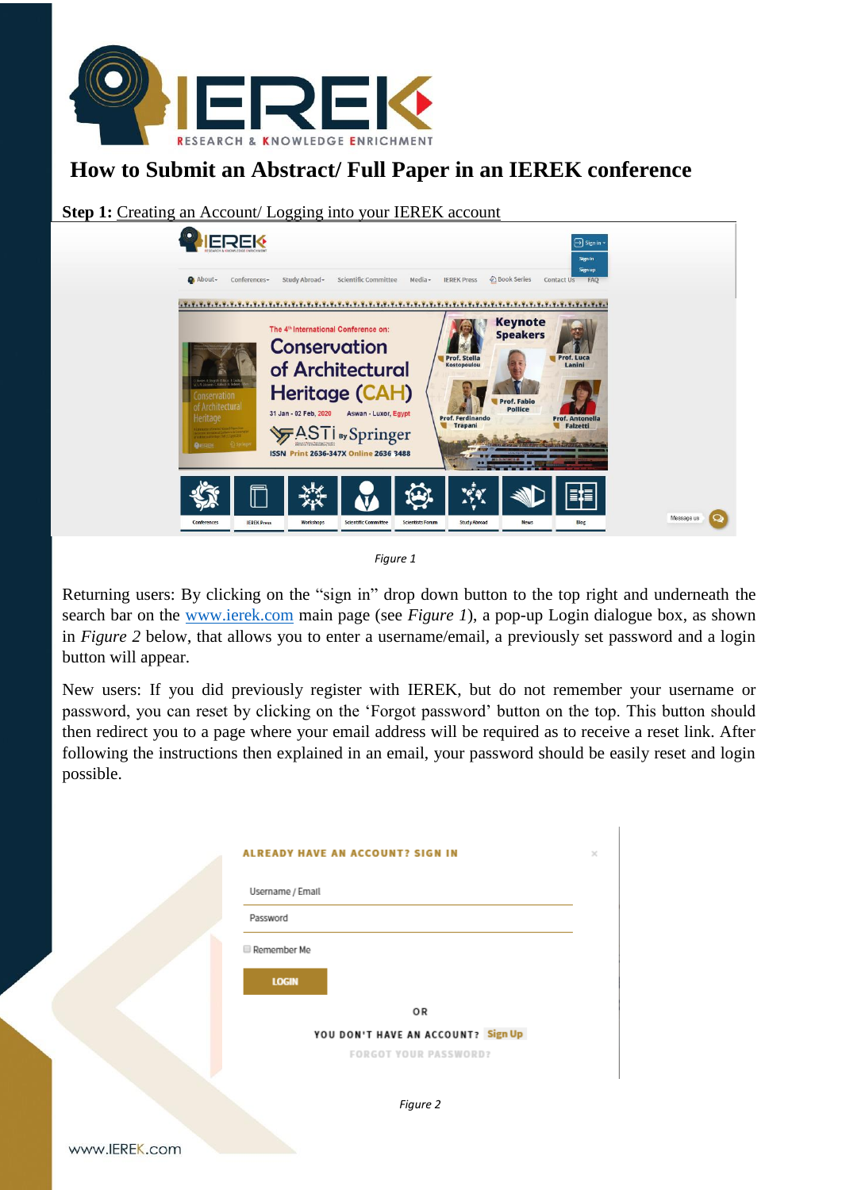

# **How to Submit an Abstract/ Full Paper in an IEREK conference**

**Step 1:** Creating an Account/ Logging into your IEREK account



*Figure 1*

Returning users: By clicking on the "sign in" drop down button to the top right and underneath the search bar on the [www.ierek.com](http://www.ierek.com/) main page (see *Figure 1*), a pop-up Login dialogue box, as shown in *Figure 2* below, that allows you to enter a username/email, a previously set password and a login button will appear.

New users: If you did previously register with IEREK, but do not remember your username or password, you can reset by clicking on the 'Forgot password' button on the top. This button should then redirect you to a page where your email address will be required as to receive a reset link. After following the instructions then explained in an email, your password should be easily reset and login possible.

| Username / Email |                                    |
|------------------|------------------------------------|
| Password         |                                    |
| Remember Me      |                                    |
|                  |                                    |
| <b>LOGIN</b>     |                                    |
|                  | OR                                 |
|                  | YOU DON'T HAVE AN ACCOUNT? Sign Up |
|                  | <b>FORGOT YOUR PASSWORD?</b>       |
|                  |                                    |
|                  |                                    |
|                  | Figure 2                           |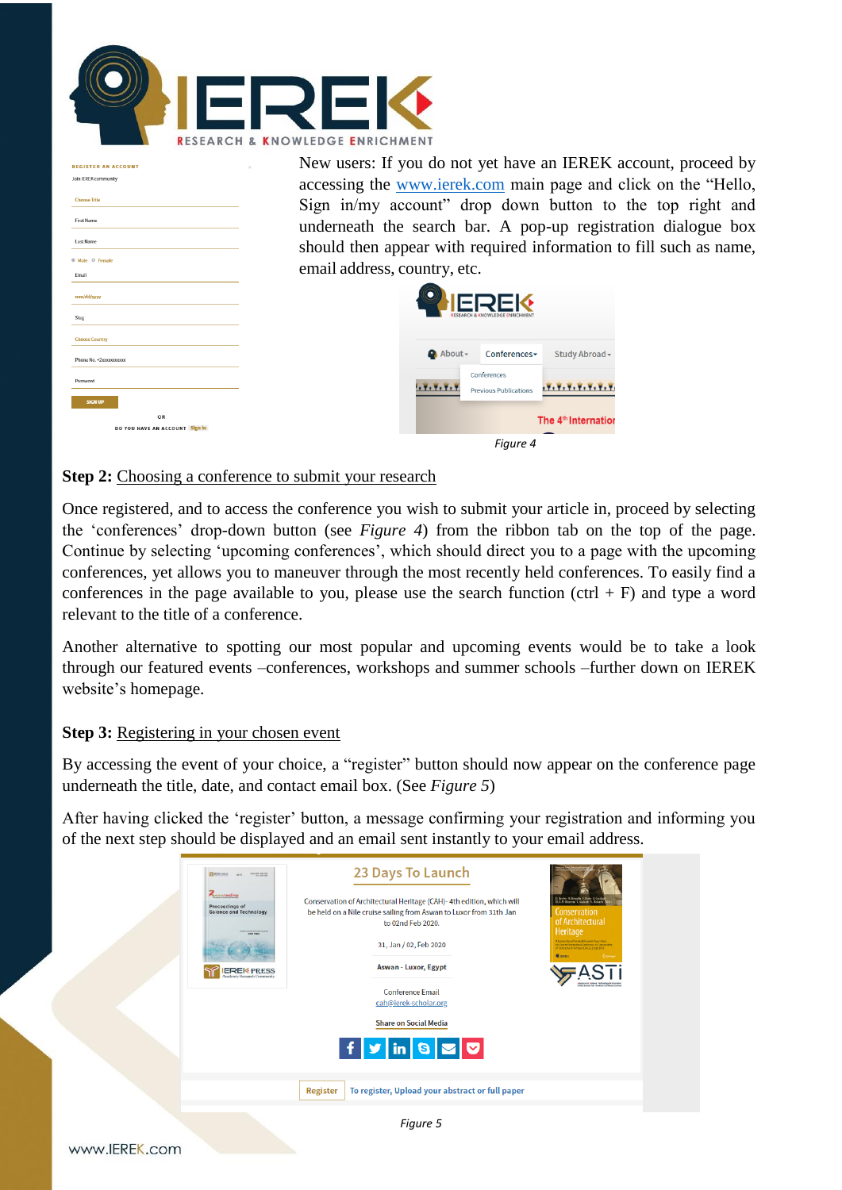

| <b>REGISTER AN ACCOUNT</b>           | New users: If you do not yet have an IEREK account, proceed by                           |
|--------------------------------------|------------------------------------------------------------------------------------------|
| Join IEREK community                 | accessing the www.ierek.com main page and click on the "Hello,                           |
| <b>Choose Title</b>                  | Sign in/my account" drop down button to the top right and                                |
| <b>First Name</b>                    | underneath the search bar. A pop-up registration dialogue box                            |
| <b>Last Name</b>                     | should then appear with required information to fill such as name,                       |
| 6 Male 6 Female                      | email address, country, etc.                                                             |
| Email                                |                                                                                          |
| mm/dd/yyyy                           |                                                                                          |
| <b>Slug</b>                          |                                                                                          |
| <b>Choose Country</b>                |                                                                                          |
| Phone No. +2xxxxxxxxxx               | About-<br>Conferences-<br>Study Abroad -                                                 |
| Password                             | Conferences<br>, Y, Y, Y, Y, Y, Y, Y, Y<br>1, 7, 7, 7, 1<br><b>Previous Publications</b> |
| <b>SIGN UP</b>                       |                                                                                          |
| OR<br>DO YOU HAVE AN ACCOUNT Sign in | The 4 <sup>th</sup> Internation                                                          |
|                                      | Fiaure 4                                                                                 |

#### **Step 2:** Choosing a conference to submit your research

Once registered, and to access the conference you wish to submit your article in, proceed by selecting the 'conferences' drop-down button (see *Figure 4*) from the ribbon tab on the top of the page. Continue by selecting 'upcoming conferences', which should direct you to a page with the upcoming conferences, yet allows you to maneuver through the most recently held conferences. To easily find a conferences in the page available to you, please use the search function (ctrl  $+$  F) and type a word relevant to the title of a conference.

Another alternative to spotting our most popular and upcoming events would be to take a look through our featured events –conferences, workshops and summer schools –further down on IEREK website's homepage.

#### **Step 3:** Registering in your chosen event

By accessing the event of your choice, a "register" button should now appear on the conference page underneath the title, date, and contact email box. (See *Figure 5*)

After having clicked the 'register' button, a message confirming your registration and informing you of the next step should be displayed and an email sent instantly to your email address.

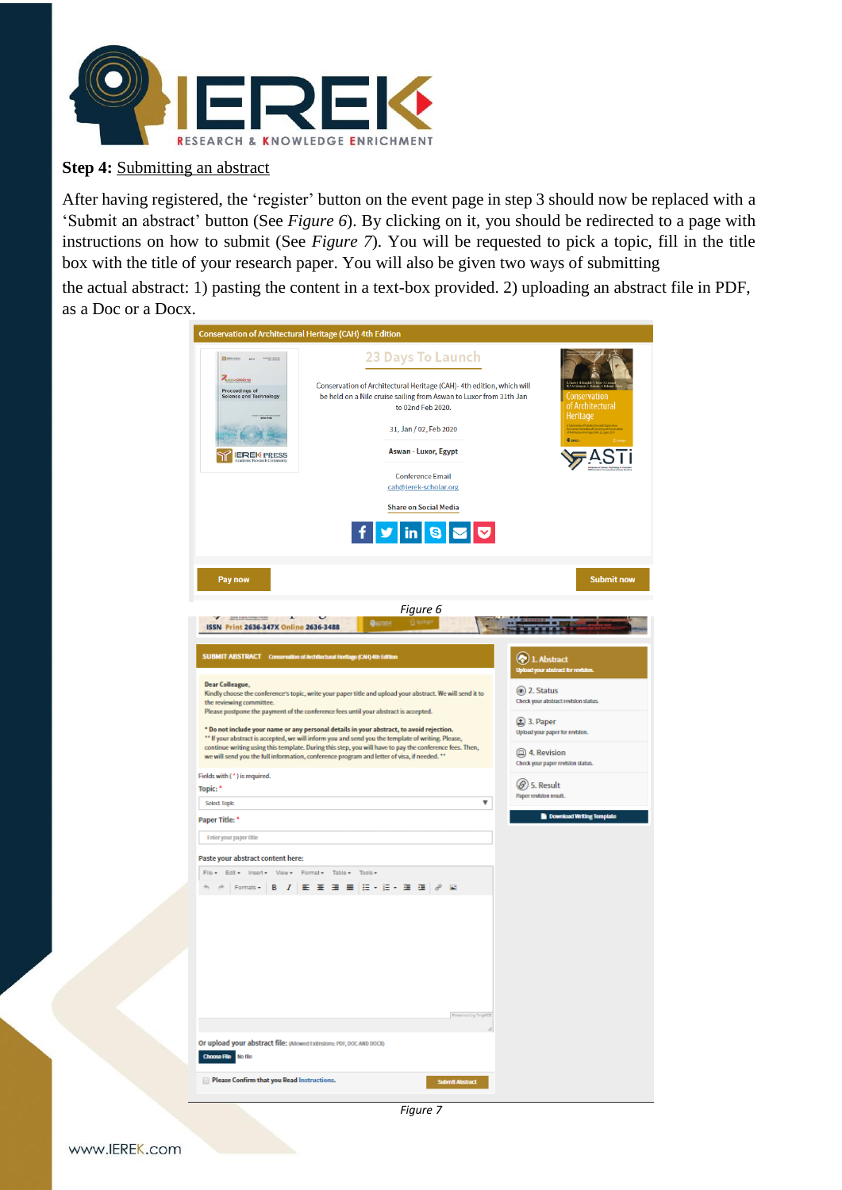

## **Step 4: Submitting an abstract**

After having registered, the 'register' button on the event page in step 3 should now be replaced with a 'Submit an abstract' button (See *Figure 6*). By clicking on it, you should be redirected to a page with instructions on how to submit (See *Figure 7*). You will be requested to pick a topic, fill in the title box with the title of your research paper. You will also be given two ways of submitting

the actual abstract: 1) pasting the content in a text-box provided. 2) uploading an abstract file in PDF, as a Doc or a Docx.

| Conservation of Architectural Heritage (CAH) 4th Edition                                                                                                                                                                                                                                                                                                                                                                                                                                                                                                                                                                                                                                                                                                                        |                                                                       |                                                                                                                                                                                                                                                                                                                                                         |                                                                                              |                                                                                                                                                          |
|---------------------------------------------------------------------------------------------------------------------------------------------------------------------------------------------------------------------------------------------------------------------------------------------------------------------------------------------------------------------------------------------------------------------------------------------------------------------------------------------------------------------------------------------------------------------------------------------------------------------------------------------------------------------------------------------------------------------------------------------------------------------------------|-----------------------------------------------------------------------|---------------------------------------------------------------------------------------------------------------------------------------------------------------------------------------------------------------------------------------------------------------------------------------------------------------------------------------------------------|----------------------------------------------------------------------------------------------|----------------------------------------------------------------------------------------------------------------------------------------------------------|
| Therefore are "There<br><b>Z</b> elourceedings<br>Proceedings of<br>Science and Technology<br><b>IEREK PRESS</b>                                                                                                                                                                                                                                                                                                                                                                                                                                                                                                                                                                                                                                                                | Ø                                                                     | 23 Days To Launch<br>Conservation of Architectural Heritage (CAH)-4th edition, which will<br>be held on a Nile cruise sailing from Aswan to Luxor from 31th Jan<br>to 02nd Feb 2020.<br>31, Jan / 02, Feb 2020<br><b>Aswan - Luxor, Egypt</b><br><b>Conference Email</b><br>cah@ierek-scholar.org<br><b>Share on Social Media</b><br>$\ln  \mathbf{S} $ |                                                                                              | Conservation<br>of Architectural<br>Heritage                                                                                                             |
| Pay now                                                                                                                                                                                                                                                                                                                                                                                                                                                                                                                                                                                                                                                                                                                                                                         |                                                                       |                                                                                                                                                                                                                                                                                                                                                         |                                                                                              | <b>Submit now</b>                                                                                                                                        |
| <b>Board Labour Toronto Library</b><br>ISSN Print 2636-347X Online 2636-3488                                                                                                                                                                                                                                                                                                                                                                                                                                                                                                                                                                                                                                                                                                    | <b>QIEREN</b>                                                         | Figure 6<br><u>⊘</u> Springer                                                                                                                                                                                                                                                                                                                           |                                                                                              |                                                                                                                                                          |
| SUBMIT ABSTRACT Conservation of Architectural Heritage (CAH) 4th Edition<br><b>Dear Colleague,</b><br>Kindly choose the conference's topic, write your paper title and upload your abstract. We will send it to<br>the reviewing committee.<br>Please postpone the payment of the conference fees until your abstract is accepted.<br>* Do not include your name or any personal details in your abstract, to avoid rejection.<br>** If your abstract is accepted, we will inform you and send you the template of writing. Please,<br>continue writing using this template. During this step, you will have to pay the conference fees. Then,<br>we will send you the full information, conference program and letter of visa, if needed. **<br>Fields with ( * ) is required. |                                                                       |                                                                                                                                                                                                                                                                                                                                                         | $\left( \bullet \right)$ 1. Abstract<br>(a) 2. Status<br>$\circledR$ 3. Paper<br>4. Revision | <b>Upload your abstract for revision</b><br>Check your abstract revision status.<br>Upload your paper for revision.<br>Check your paper revision status. |
| Topic: *                                                                                                                                                                                                                                                                                                                                                                                                                                                                                                                                                                                                                                                                                                                                                                        |                                                                       |                                                                                                                                                                                                                                                                                                                                                         | $\circledS$ 5. Result<br>Paper revision result.                                              |                                                                                                                                                          |
| <b>Select Topic</b><br>Paper Title: *                                                                                                                                                                                                                                                                                                                                                                                                                                                                                                                                                                                                                                                                                                                                           |                                                                       | ▼                                                                                                                                                                                                                                                                                                                                                       |                                                                                              | Download Writing Template                                                                                                                                |
| <b>Enter your paper title</b><br>Paste your abstract content here:<br>Edit Insert View Format Table Tools-<br>File +                                                                                                                                                                                                                                                                                                                                                                                                                                                                                                                                                                                                                                                            | Formats -   B   <i>I</i>   臣 亜 田 田   田 - 旧 - 亜 亜   a <sup>o</sup>   国 |                                                                                                                                                                                                                                                                                                                                                         |                                                                                              |                                                                                                                                                          |
|                                                                                                                                                                                                                                                                                                                                                                                                                                                                                                                                                                                                                                                                                                                                                                                 |                                                                       | Fowered by TinyHDE                                                                                                                                                                                                                                                                                                                                      |                                                                                              |                                                                                                                                                          |
| Or upload your abstract file: (Allowed Extinsions: PDF, DOC AND DOCK)<br>Choose File No file                                                                                                                                                                                                                                                                                                                                                                                                                                                                                                                                                                                                                                                                                    |                                                                       |                                                                                                                                                                                                                                                                                                                                                         |                                                                                              |                                                                                                                                                          |
| Please Confirm that you Read Instructions.                                                                                                                                                                                                                                                                                                                                                                                                                                                                                                                                                                                                                                                                                                                                      |                                                                       | <b>Submit Abstract</b>                                                                                                                                                                                                                                                                                                                                  |                                                                                              |                                                                                                                                                          |
|                                                                                                                                                                                                                                                                                                                                                                                                                                                                                                                                                                                                                                                                                                                                                                                 |                                                                       |                                                                                                                                                                                                                                                                                                                                                         |                                                                                              |                                                                                                                                                          |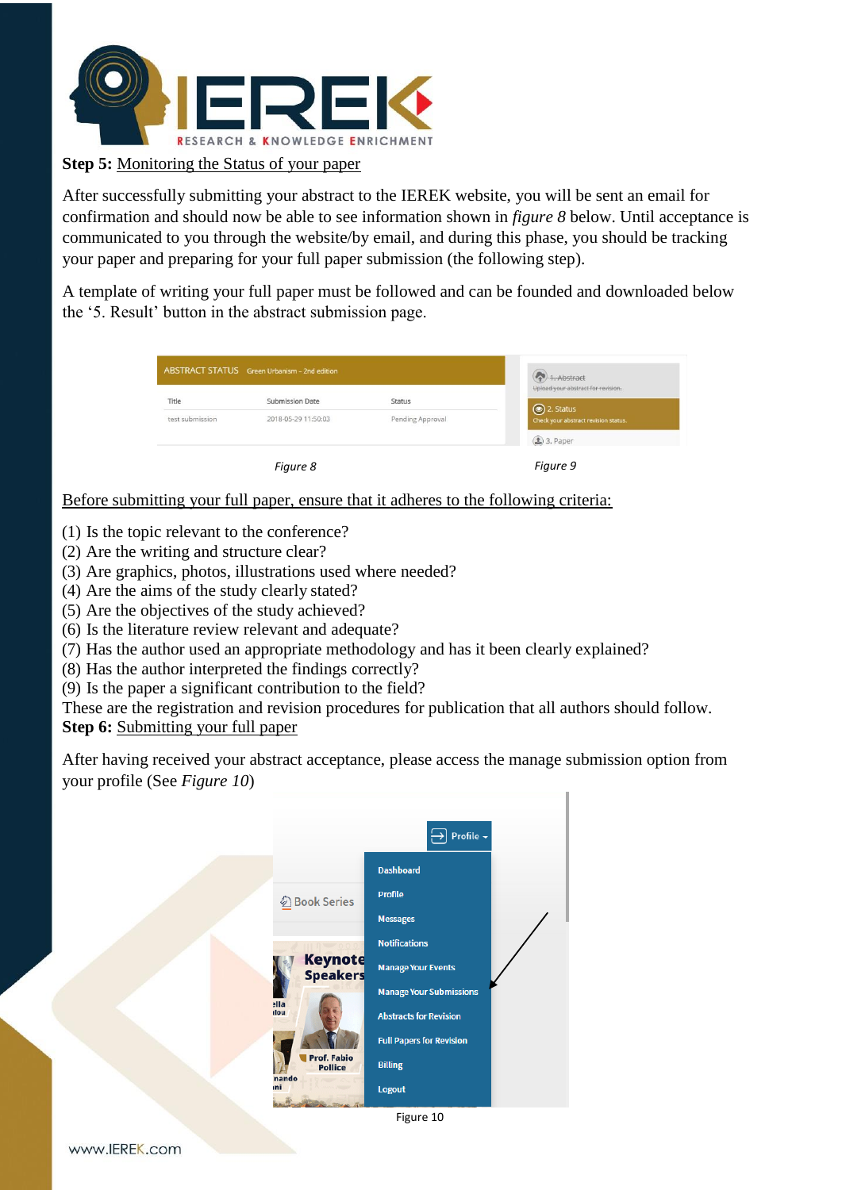

## **Step 5:** Monitoring the Status of your paper

After successfully submitting your abstract to the IEREK website, you will be sent an email for confirmation and should now be able to see information shown in *figure 8* below. Until acceptance is communicated to you through the website/by email, and during this phase, you should be tracking your paper and preparing for your full paper submission (the following step).

A template of writing your full paper must be followed and can be founded and downloaded below the '5. Result' button in the abstract submission page.

| ABSTRACT STATUS Green Urbanism - 2nd edition |                                               |                                   | 1. Abstract<br>Upload your abstract for revision. |  |
|----------------------------------------------|-----------------------------------------------|-----------------------------------|---------------------------------------------------|--|
| Title<br>test submission                     | <b>Submission Date</b><br>2018-05-29 11:50:03 | <b>Status</b><br>Pending Approval | 2. Status<br>Check your abstract revision status. |  |
|                                              |                                               |                                   | $1$ 3. Paper                                      |  |
|                                              | Figure 8                                      |                                   | Figure 9                                          |  |

Before submitting your full paper, ensure that it adheres to the following criteria:

- (1) Is the topic relevant to the conference?
- (2) Are the writing and structure clear?
- (3) Are graphics, photos, illustrations used where needed?
- (4) Are the aims of the study clearly stated?
- (5) Are the objectives of the study achieved?
- (6) Is the literature review relevant and adequate?
- (7) Has the author used an appropriate methodology and has it been clearly explained?
- (8) Has the author interpreted the findings correctly?
- (9) Is the paper a significant contribution to the field?

These are the registration and revision procedures for publication that all authors should follow.

**Step 6: Submitting your full paper** 

After having received your abstract acceptance, please access the manage submission option from your profile (See *Figure 10*)